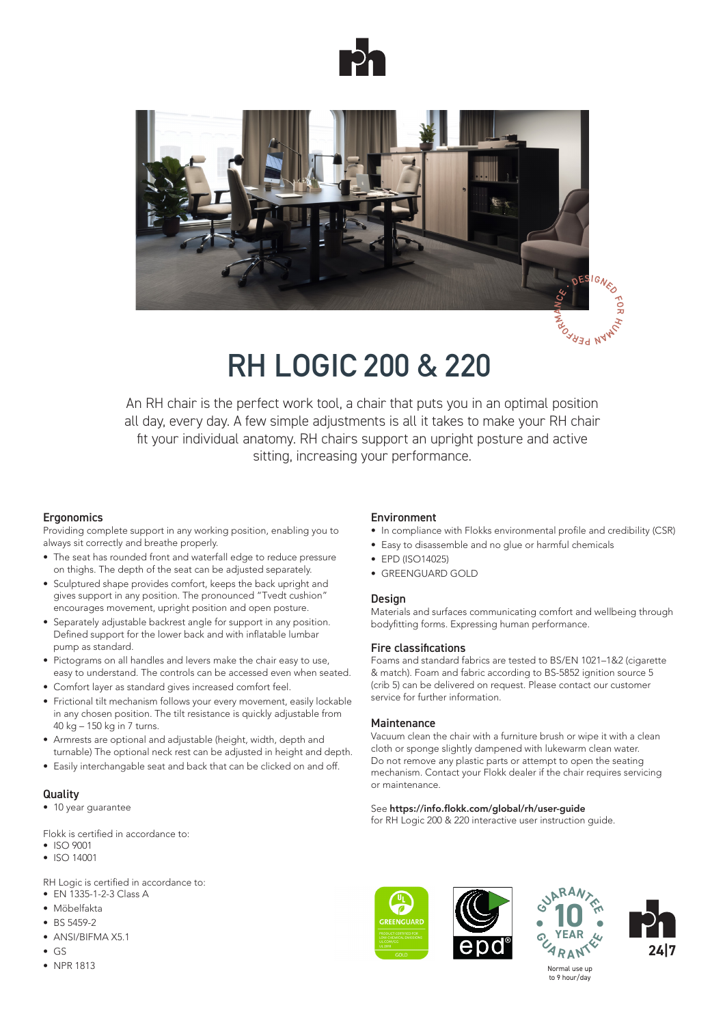



# **RH LOGIC 200 & 220**

An RH chair is the perfect work tool, a chair that puts you in an optimal position all day, every day. A few simple adjustments is all it takes to make your RH chair fit your individual anatomy. RH chairs support an upright posture and active sitting, increasing your performance.

### **Ergonomics**

Providing complete support in any working position, enabling you to always sit correctly and breathe properly.

- The seat has rounded front and waterfall edge to reduce pressure on thighs. The depth of the seat can be adjusted separately.
- Sculptured shape provides comfort, keeps the back upright and gives support in any position. The pronounced "Tvedt cushion" encourages movement, upright position and open posture.
- Separately adjustable backrest angle for support in any position. Defined support for the lower back and with inflatable lumbar pump as standard.
- Pictograms on all handles and levers make the chair easy to use, easy to understand. The controls can be accessed even when seated.
- Comfort layer as standard gives increased comfort feel.
- Frictional tilt mechanism follows your every movement, easily lockable in any chosen position. The tilt resistance is quickly adjustable from 40 kg – 150 kg in 7 turns.
- Armrests are optional and adjustable (height, width, depth and turnable) The optional neck rest can be adjusted in height and depth.
- Easily interchangable seat and back that can be clicked on and off.

### **Quality**

• 10 year guarantee

Flokk is certified in accordance to:

- ISO 9001
- ISO 14001

RH Logic is certified in accordance to:

- EN 1335-1-2-3 Class A
- Möbelfakta
- BS 5459-2
- ANSI/BIFMA X5.1
- GS
- NPR 1813

### Environment

- In compliance with Flokks environmental profile and credibility (CSR)
- Easy to disassemble and no glue or harmful chemicals
- FPD (ISO14025)
- GREENGUARD GOLD

### **Design**

Materials and surfaces communicating comfort and wellbeing through bodyfitting forms. Expressing human performance.

### Fire classifications

Foams and standard fabrics are tested to BS/EN 1021–1&2 (cigarette & match). Foam and fabric according to BS-5852 ignition source 5 (crib 5) can be delivered on request. Please contact our customer service for further information.

### **Maintenance**

Vacuum clean the chair with a furniture brush or wipe it with a clean cloth or sponge slightly dampened with lukewarm clean water. Do not remove any plastic parts or attempt to open the seating mechanism. Contact your Flokk dealer if the chair requires servicing or maintenance.

### See https://info.flokk.com/global/rh/user-guide

for RH Logic 200 & 220 interactive user instruction guide.





 $\bullet$